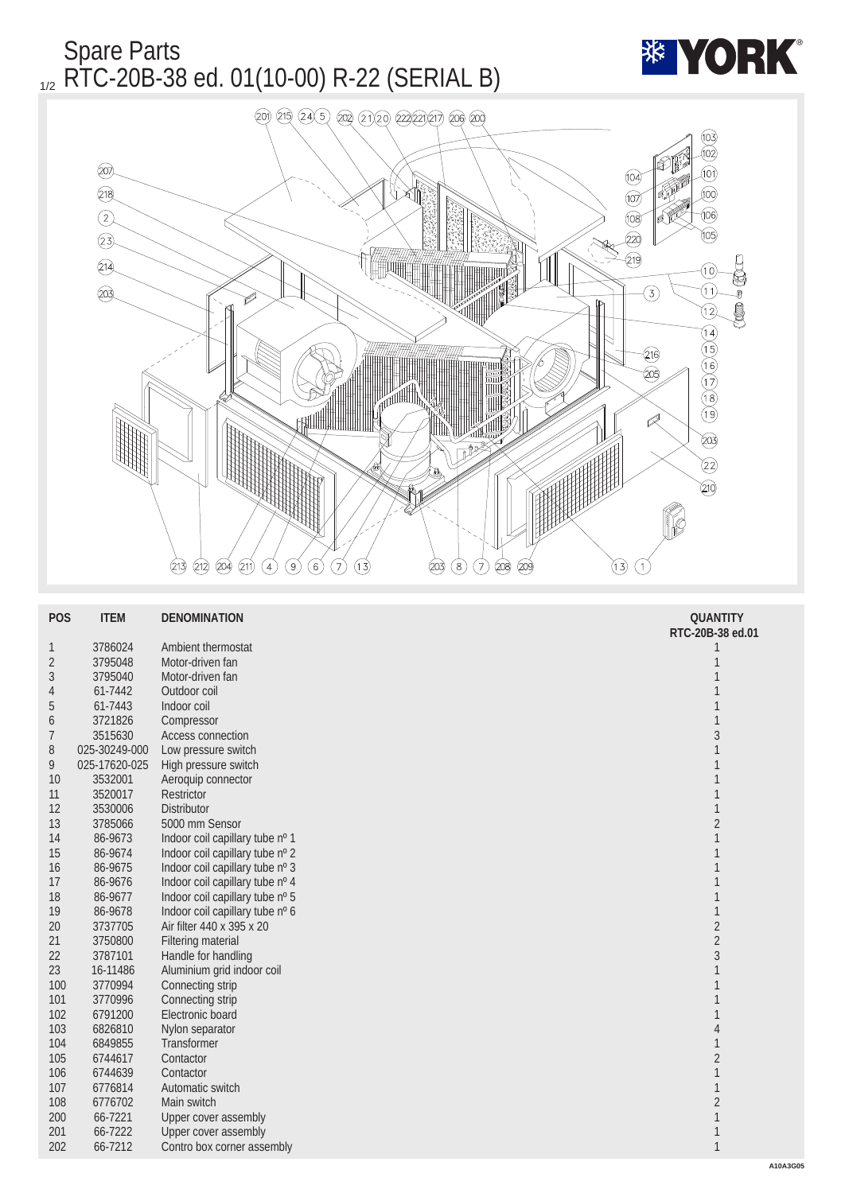

| <b>POS</b>       | <b>ITEM</b>   | <b>DENOMINATION</b>             | <b>QUANTITY</b>  |
|------------------|---------------|---------------------------------|------------------|
|                  |               |                                 | RTC-20B-38 ed.01 |
| $\mathbf{1}$     | 3786024       | Ambient thermostat              | $\mathbf{1}$     |
| $\sqrt{2}$       | 3795048       | Motor-driven fan                | $\mathbf{1}$     |
| $\boldsymbol{3}$ | 3795040       | Motor-driven fan                | $\mathbf{1}$     |
| 4                | 61-7442       | Outdoor coil                    |                  |
| $\sqrt{5}$       | 61-7443       | Indoor coil                     | $\mathbf{1}$     |
| $6\phantom{1}6$  | 3721826       | Compressor                      | $\mathbf{1}$     |
| 7                | 3515630       | <b>Access connection</b>        | $\sqrt{3}$       |
| 8                | 025-30249-000 | Low pressure switch             | $\mathbf{1}$     |
| 9                | 025-17620-025 | High pressure switch            | 1                |
| 10               | 3532001       | Aeroquip connector              | 1                |
| 11               | 3520017       | Restrictor                      | $\mathbf{1}$     |
| 12               | 3530006       | <b>Distributor</b>              | $\mathbf{1}$     |
| 13               | 3785066       | 5000 mm Sensor                  | $\sqrt{2}$       |
| 14               | 86-9673       | Indoor coil capillary tube nº 1 | $\mathbf{1}$     |
| 15               | 86-9674       | Indoor coil capillary tube nº 2 | 1                |
| 16               | 86-9675       | Indoor coil capillary tube nº 3 | 1                |
| 17               | 86-9676       | Indoor coil capillary tube nº 4 | $\mathbf{1}$     |
| 18               | 86-9677       | Indoor coil capillary tube nº 5 | 1                |
| 19               | 86-9678       | Indoor coil capillary tube nº 6 | $\mathbf{1}$     |
| 20               | 3737705       | Air filter 440 x 395 x 20       | $\overline{2}$   |
| 21               | 3750800       | <b>Filtering material</b>       | $\sqrt{2}$       |
| 22               | 3787101       | Handle for handling             | $\sqrt{3}$       |
| 23               | 16-11486      | Aluminium grid indoor coil      | $\mathbf{1}$     |
| 100              | 3770994       | Connecting strip                | $\mathbf{1}$     |
| 101              | 3770996       | Connecting strip                | 1                |
| 102              | 6791200       | Electronic board                | 1                |
| 103              | 6826810       | Nylon separator                 | $\overline{4}$   |
| 104              | 6849855       | <b>Transformer</b>              | 1                |
| 105              | 6744617       | Contactor                       | $\sqrt{2}$       |
| 106              | 6744639       | Contactor                       | $\mathbf{1}$     |
| 107              | 6776814       | Automatic switch                | $\mathbf{1}$     |
| 108              | 6776702       | Main switch                     | $\sqrt{2}$       |
| 200              | 66-7221       | <b>Upper cover assembly</b>     | $\mathbf{1}$     |
| 201              | 66-7222       | <b>Upper cover assembly</b>     | $\mathbf{1}$     |
| 202              | 66-7212       | Contro box corner assembly      | $\mathbf{1}$     |
|                  |               |                                 |                  |